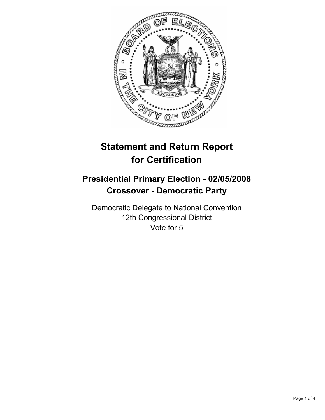

# **Statement and Return Report for Certification**

# **Presidential Primary Election - 02/05/2008 Crossover - Democratic Party**

Democratic Delegate to National Convention 12th Congressional District Vote for 5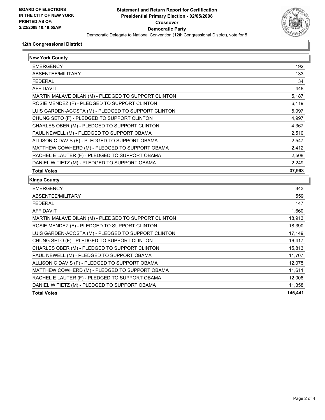

#### **12th Congressional District**

| <b>New York County</b>                               |         |
|------------------------------------------------------|---------|
| <b>EMERGENCY</b>                                     | 192     |
| ABSENTEE/MILITARY                                    | 133     |
| <b>FEDERAL</b>                                       | 34      |
| AFFIDAVIT                                            | 448     |
| MARTIN MALAVE DILAN (M) - PLEDGED TO SUPPORT CLINTON | 5,187   |
| ROSIE MENDEZ (F) - PLEDGED TO SUPPORT CLINTON        | 6,119   |
| LUIS GARDEN-ACOSTA (M) - PLEDGED TO SUPPORT CLINTON  | 5,097   |
| CHUNG SETO (F) - PLEDGED TO SUPPORT CLINTON          | 4,997   |
| CHARLES OBER (M) - PLEDGED TO SUPPORT CLINTON        | 4,367   |
| PAUL NEWELL (M) - PLEDGED TO SUPPORT OBAMA           | 2,510   |
| ALLISON C DAVIS (F) - PLEDGED TO SUPPORT OBAMA       | 2,547   |
| MATTHEW COWHERD (M) - PLEDGED TO SUPPORT OBAMA       | 2,412   |
| RACHEL E LAUTER (F) - PLEDGED TO SUPPORT OBAMA       | 2,508   |
| DANIEL W TIETZ (M) - PLEDGED TO SUPPORT OBAMA        | 2.249   |
| <b>Total Votes</b>                                   | 37,993  |
| <b>Kings County</b>                                  |         |
| <b>EMERGENCY</b>                                     | 343     |
| ABSENTEE/MILITARY                                    | 559     |
| <b>FEDERAL</b>                                       | 147     |
| AFFIDAVIT                                            | 1,660   |
| MARTIN MALAVE DILAN (M) - PLEDGED TO SUPPORT CLINTON | 18,913  |
| ROSIE MENDEZ (F) - PLEDGED TO SUPPORT CLINTON        | 18,390  |
| LUIS GARDEN-ACOSTA (M) - PLEDGED TO SUPPORT CLINTON  | 17,149  |
| CHUNG SETO (F) - PLEDGED TO SUPPORT CLINTON          | 16,417  |
| CHARLES OBER (M) - PLEDGED TO SUPPORT CLINTON        | 15,813  |
| PAUL NEWELL (M) - PLEDGED TO SUPPORT OBAMA           | 11,707  |
| ALLISON C DAVIS (F) - PLEDGED TO SUPPORT OBAMA       | 12,075  |
| MATTHEW COWHERD (M) - PLEDGED TO SUPPORT OBAMA       | 11,611  |
| RACHEL E LAUTER (F) - PLEDGED TO SUPPORT OBAMA       | 12,008  |
| DANIEL W TIETZ (M) - PLEDGED TO SUPPORT OBAMA        | 11,358  |
|                                                      | 145,441 |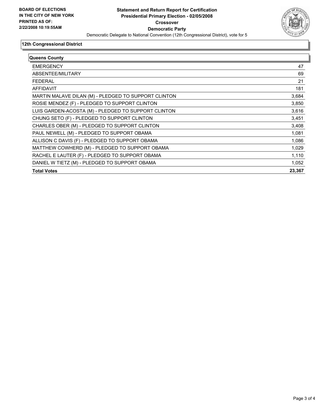

## **12th Congressional District**

| Queens County                                        |        |
|------------------------------------------------------|--------|
| <b>EMERGENCY</b>                                     | 47     |
| ABSENTEE/MILITARY                                    | 69     |
| FEDERAL                                              | 21     |
| AFFIDAVIT                                            | 181    |
| MARTIN MALAVE DILAN (M) - PLEDGED TO SUPPORT CLINTON | 3,684  |
| ROSIE MENDEZ (F) - PLEDGED TO SUPPORT CLINTON        | 3,850  |
| LUIS GARDEN-ACOSTA (M) - PLEDGED TO SUPPORT CLINTON  | 3,616  |
| CHUNG SETO (F) - PLEDGED TO SUPPORT CLINTON          | 3,451  |
| CHARLES OBER (M) - PLEDGED TO SUPPORT CLINTON        | 3,408  |
| PAUL NEWELL (M) - PLEDGED TO SUPPORT OBAMA           | 1,081  |
| ALLISON C DAVIS (F) - PLEDGED TO SUPPORT OBAMA       | 1,086  |
| MATTHEW COWHERD (M) - PLEDGED TO SUPPORT OBAMA       | 1,029  |
| RACHEL E LAUTER (F) - PLEDGED TO SUPPORT OBAMA       | 1,110  |
| DANIEL W TIETZ (M) - PLEDGED TO SUPPORT OBAMA        | 1,052  |
| <b>Total Votes</b>                                   | 23,367 |
|                                                      |        |